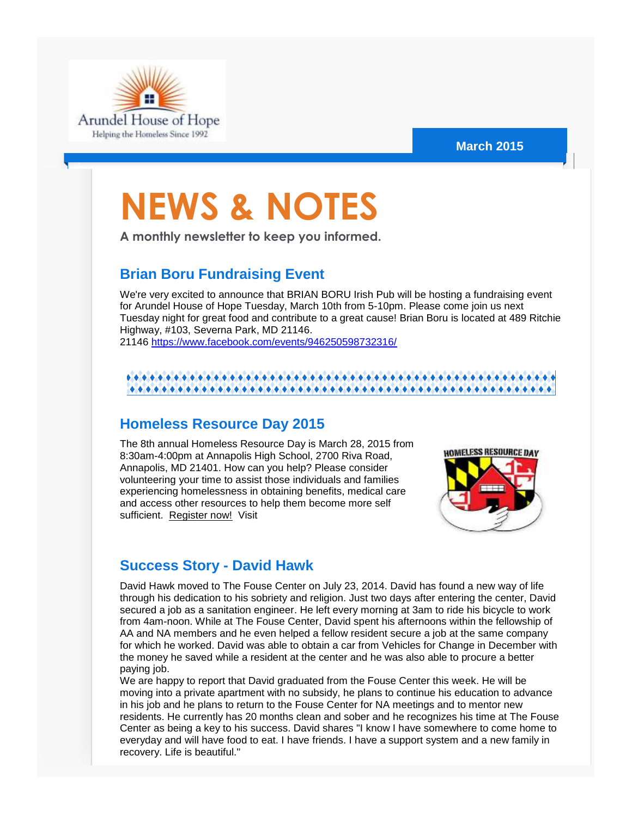

#### **March 2015**

# **NEWS & NOTES**

**A monthly newsletter to keep you informed.**

### **Brian Boru Fundraising Event**

We're very excited to announce that BRIAN BORU Irish Pub will be hosting a fundraising event for Arundel House of Hope Tuesday, March 10th from 5-10pm. Please come join us next Tuesday night for great food and contribute to a great cause! Brian Boru is located at 489 Ritchie Highway, #103, Severna Park, MD 21146. 21146 [https://www.facebook.com/events/946250598732316/](http://r20.rs6.net/tn.jsp?f=001yQ5r1qPeNfeEz9fv8VuAfh2Wfc5VghjZIriXuNkEVA-I2d09gw4X3PjgTh4KzptM-RTI0Uoe9SOYMyDOQngNsu-dh2oWCljx347l4jY6pZH5YKZhSMWc3mKS2E6GYhp8E528pr8Gdc2uk4Exu5kNZ2j4PLyKAeErznUUB55PASLQyWtKPiwwhHGEmn3B68fdZ9TBQBiiIHR3vQiEMTB3fw==&c=F6b0RcVJlJ4S8Vjo8sFpVTZ45BV538cbUAtnejP0fSD58BQvF6ua5Q==&ch=Htu0IbI95TQxlwCxjmKHx6Qs7GeBRkUnDSl-ZX26O13eDvtteA5lmA==) 

#### \*\*\*\*\*\*\*\*\*\*\*\*\*\*\*\*\*\*\*\*\*\*\*\*\*

### **Homeless Resource Day 2015**

The 8th annual Homeless Resource Day is March 28, 2015 from 8:30am-4:00pm at Annapolis High School, 2700 Riva Road, Annapolis, MD 21401. How can you help? Please consider volunteering your time to assist those individuals and families experiencing homelessness in obtaining benefits, medical care and access other resources to help them become more self sufficient. [Register now!](http://r20.rs6.net/tn.jsp?f=001yQ5r1qPeNfeEz9fv8VuAfh2Wfc5VghjZIriXuNkEVA-I2d09gw4X3KSHlhQxgFVb9_YH0H0_RtZ0viqTgmNb9628tPoBQakKAcYEfErsTl6hAmZBZ5xq89OAAeJhLiavJTwvy5nr6sUD5wskexok9hHYldy5upw7hYOgQP6JUgNbb6SrrZJKXBFLhRYm4Bac&c=F6b0RcVJlJ4S8Vjo8sFpVTZ45BV538cbUAtnejP0fSD58BQvF6ua5Q==&ch=Htu0IbI95TQxlwCxjmKHx6Qs7GeBRkUnDSl-ZX26O13eDvtteA5lmA==) Visit



## **Success Story - David Hawk**

David Hawk moved to The Fouse Center on July 23, 2014. David has found a new way of life through his dedication to his sobriety and religion. Just two days after entering the center, David secured a job as a sanitation engineer. He left every morning at 3am to ride his bicycle to work from 4am-noon. While at The Fouse Center, David spent his afternoons within the fellowship of AA and NA members and he even helped a fellow resident secure a job at the same company for which he worked. David was able to obtain a car from Vehicles for Change in December with the money he saved while a resident at the center and he was also able to procure a better paying job.

We are happy to report that David graduated from the Fouse Center this week. He will be moving into a private apartment with no subsidy, he plans to continue his education to advance in his job and he plans to return to the Fouse Center for NA meetings and to mentor new residents. He currently has 20 months clean and sober and he recognizes his time at The Fouse Center as being a key to his success. David shares "I know I have somewhere to come home to everyday and will have food to eat. I have friends. I have a support system and a new family in recovery. Life is beautiful."